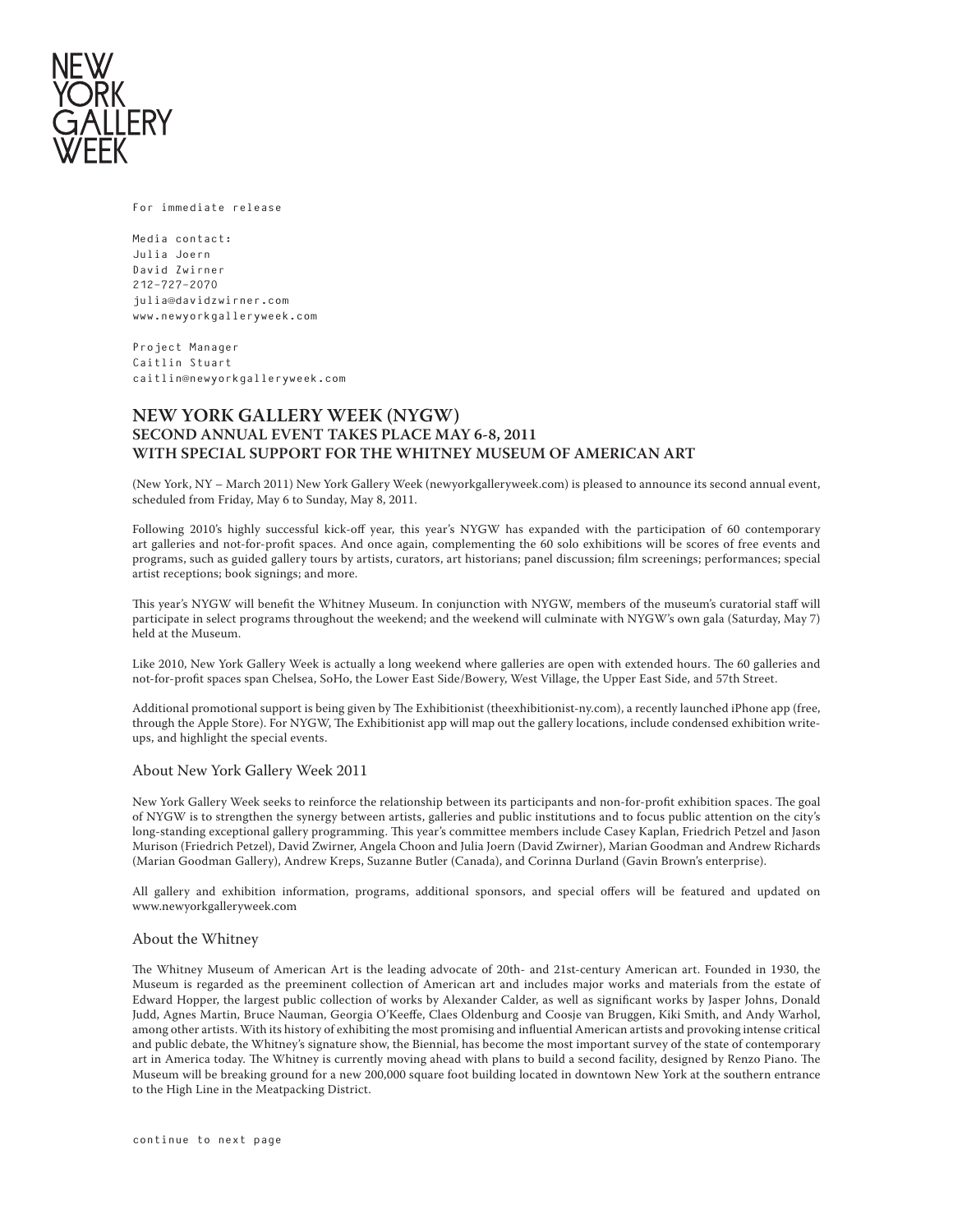

For immediate release

Media contact: Julia Joern David Zwirner 212-727-2070 julia@davidzwirner.com www.newyorkgalleryweek.com

Project Manager Caitlin Stuart caitlin@newyorkgalleryweek.com

# **NEW YORK GALLERY WEEK (NYGW) SECOND ANNUAL EVENT TAKES PLACE MAY 6-8, 2011 WITH SPECIAL SUPPORT FOR THE WHITNEY MUSEUM OF AMERICAN ART**

(New York, NY – March 2011) New York Gallery Week (newyorkgalleryweek.com) is pleased to announce its second annual event, scheduled from Friday, May 6 to Sunday, May 8, 2011.

Following 2010's highly successful kick-off year, this year's NYGW has expanded with the participation of 60 contemporary art galleries and not-for-profit spaces. And once again, complementing the 60 solo exhibitions will be scores of free events and programs, such as guided gallery tours by artists, curators, art historians; panel discussion; film screenings; performances; special artist receptions; book signings; and more.

This year's NYGW will benefit the Whitney Museum. In conjunction with NYGW, members of the museum's curatorial staff will participate in select programs throughout the weekend; and the weekend will culminate with NYGW's own gala (Saturday, May 7) held at the Museum.

Like 2010, New York Gallery Week is actually a long weekend where galleries are open with extended hours. The 60 galleries and not-for-profit spaces span Chelsea, SoHo, the Lower East Side/Bowery, West Village, the Upper East Side, and 57th Street.

Additional promotional support is being given by The Exhibitionist (theexhibitionist-ny.com), a recently launched iPhone app (free, through the Apple Store). For NYGW, The Exhibitionist app will map out the gallery locations, include condensed exhibition writeups, and highlight the special events.

### About New York Gallery Week 2011

New York Gallery Week seeks to reinforce the relationship between its participants and non-for-profit exhibition spaces. The goal of NYGW is to strengthen the synergy between artists, galleries and public institutions and to focus public attention on the city's long-standing exceptional gallery programming. This year's committee members include Casey Kaplan, Friedrich Petzel and Jason Murison (Friedrich Petzel), David Zwirner, Angela Choon and Julia Joern (David Zwirner), Marian Goodman and Andrew Richards (Marian Goodman Gallery), Andrew Kreps, Suzanne Butler (Canada), and Corinna Durland (Gavin Brown's enterprise).

All gallery and exhibition information, programs, additional sponsors, and special offers will be featured and updated on www.newyorkgalleryweek.com

#### About the Whitney

The Whitney Museum of American Art is the leading advocate of 20th- and 21st-century American art. Founded in 1930, the Museum is regarded as the preeminent collection of American art and includes major works and materials from the estate of Edward Hopper, the largest public collection of works by Alexander Calder, as well as significant works by Jasper Johns, Donald Judd, Agnes Martin, Bruce Nauman, Georgia O'Keeffe, Claes Oldenburg and Coosje van Bruggen, Kiki Smith, and Andy Warhol, among other artists. With its history of exhibiting the most promising and influential American artists and provoking intense critical and public debate, the Whitney's signature show, the Biennial, has become the most important survey of the state of contemporary art in America today. The Whitney is currently moving ahead with plans to build a second facility, designed by Renzo Piano. The Museum will be breaking ground for a new 200,000 square foot building located in downtown New York at the southern entrance to the High Line in the Meatpacking District.